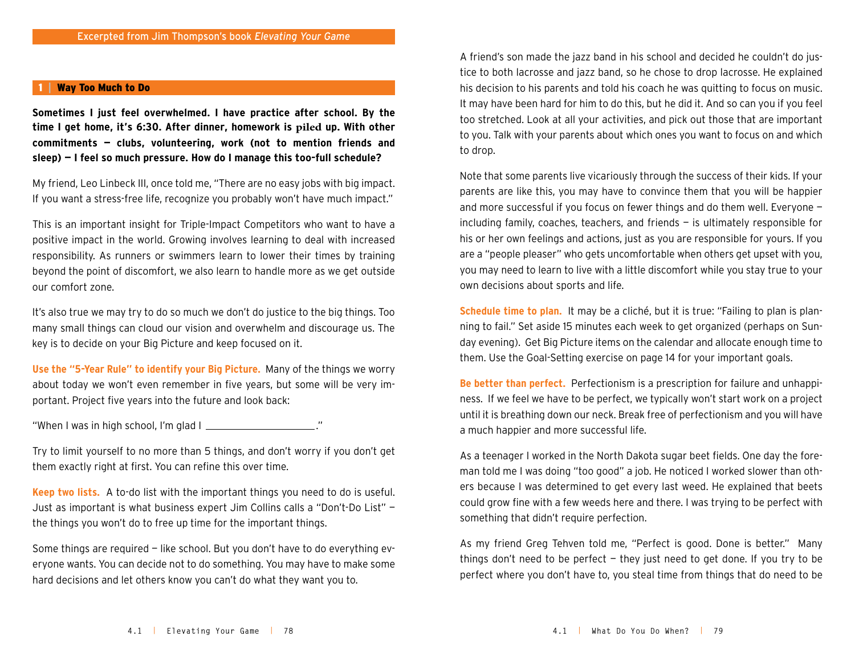## Way Too Much to Do

**Sometimes I just feel overwhelmed. I have practice after school. By the time I get home, it's 6:30. After dinner, homework is piled up. With other commitments — clubs, volunteering, work (not to mention friends and sleep) — I feel so much pressure. How do I manage this too-full schedule?**

My friend, Leo Linbeck III, once told me, "There are no easy jobs with big impact. If you want a stress-free life, recognize you probably won't have much impact."

This is an important insight for Triple-Impact Competitors who want to have a positive impact in the world. Growing involves learning to deal with increased responsibility. As runners or swimmers learn to lower their times by training beyond the point of discomfort, we also learn to handle more as we get outside our comfort zone.

It's also true we may try to do so much we don't do justice to the big things. Too many small things can cloud our vision and overwhelm and discourage us. The key is to decide on your Big Picture and keep focused on it.

**Use the "5-Year Rule" to identify your Big Picture.** Many of the things we worry about today we won't even remember in five years, but some will be very important. Project five years into the future and look back:

"When I was in high school, I'm glad  $\blacksquare$ 

Try to limit yourself to no more than 5 things, and don't worry if you don't get them exactly right at first. You can refine this over time.

**Keep two lists.** A to-do list with the important things you need to do is useful. Just as important is what business expert Jim Collins calls a "Don't-Do List" the things you won't do to free up time for the important things.

Some things are required — like school. But you don't have to do everything everyone wants. You can decide not to do something. You may have to make some hard decisions and let others know you can't do what they want you to.

A friend's son made the jazz band in his school and decided he couldn't do justice to both lacrosse and jazz band, so he chose to drop lacrosse. He explained his decision to his parents and told his coach he was quitting to focus on music. It may have been hard for him to do this, but he did it. And so can you if you feel too stretched. Look at all your activities, and pick out those that are important to you. Talk with your parents about which ones you want to focus on and which to drop.

Note that some parents live vicariously through the success of their kids. If your parents are like this, you may have to convince them that you will be happier and more successful if you focus on fewer things and do them well. Everyone including family, coaches, teachers, and friends  $-$  is ultimately responsible for his or her own feelings and actions, just as you are responsible for yours. If you are a "people pleaser" who gets uncomfortable when others get upset with you, you may need to learn to live with a little discomfort while you stay true to your own decisions about sports and life.

**Schedule time to plan.** It may be a cliché, but it is true: "Failing to plan is planning to fail." Set aside 15 minutes each week to get organized (perhaps on Sunday evening). Get Big Picture items on the calendar and allocate enough time to them. Use the Goal-Setting exercise on page 14 for your important goals.

**Be better than perfect.** Perfectionism is a prescription for failure and unhappiness. If we feel we have to be perfect, we typically won't start work on a project until it is breathing down our neck. Break free of perfectionism and you will have a much happier and more successful life.

As a teenager I worked in the North Dakota sugar beet fields. One day the foreman told me I was doing "too good" a job. He noticed I worked slower than others because I was determined to get every last weed. He explained that beets could grow fine with a few weeds here and there. I was trying to be perfect with something that didn't require perfection.

As my friend Greg Tehven told me, "Perfect is good. Done is better." Many things don't need to be perfect  $-$  they just need to get done. If you try to be perfect where you don't have to, you steal time from things that do need to be